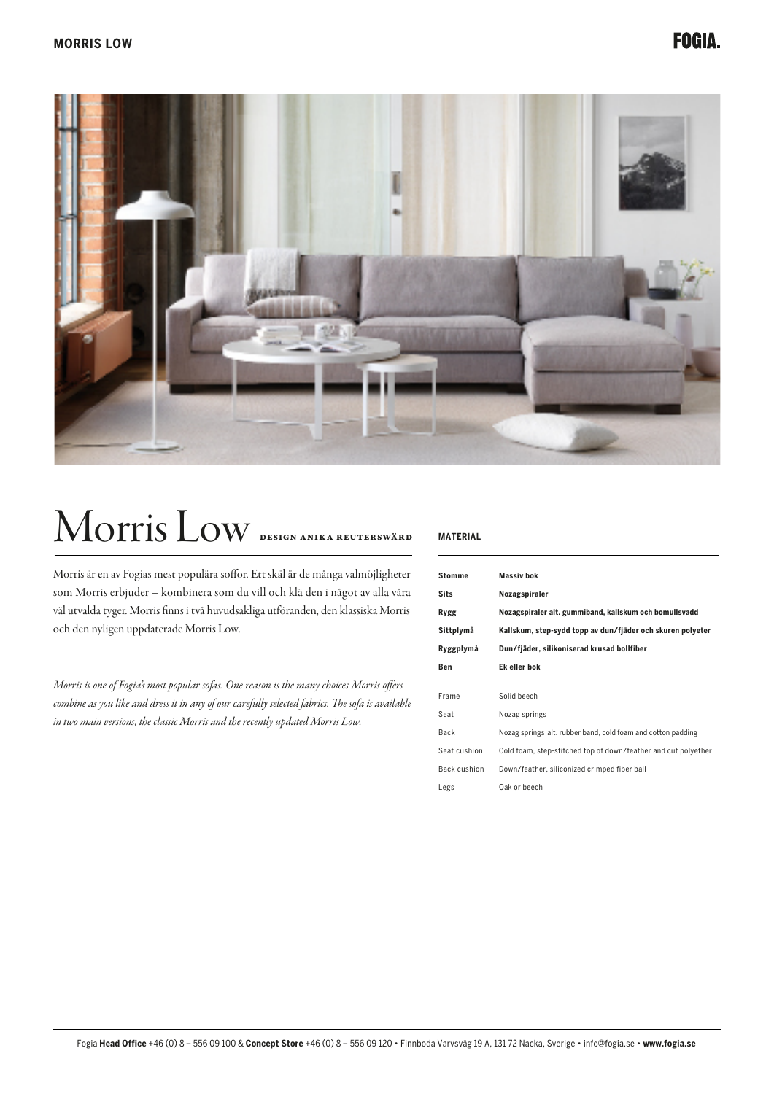

# Morris Low Design Anika Reuterswärd **MATERIAL**

Morris är en av Fogias mest populära soffor. Ett skäl är de många valmöjligheter som Morris erbjuder – kombinera som du vill och klä den i något av alla våra väl utvalda tyger. Morris finns i två huvudsakliga utföranden, den klassiska Morris och den nyligen uppdaterade Morris Low.

*Morris is one of Fogia's most popular sofas. One reason is the many choices Morris offers – combine as you like and dress it in any of our carefully selected fabrics. The sofa is available in two main versions, the classic Morris and the recently updated Morris Low.* 

| <b>Stomme</b> | <b>Massiv bok</b>                                              |
|---------------|----------------------------------------------------------------|
| <b>Sits</b>   | Nozagspiraler                                                  |
| Rygg          | Nozagspiraler alt. gummiband, kallskum och bomullsvadd         |
| Sittplymå     | Kallskum, step-sydd topp av dun/fjäder och skuren polyeter     |
| Ryggplymå     | Dun/fjäder, silikoniserad krusad bollfiber                     |
| Ben           | Ek eller bok                                                   |
|               |                                                                |
| Frame         | Solid beech                                                    |
| Seat          | Nozag springs                                                  |
| Back          | Nozag springs alt. rubber band, cold foam and cotton padding   |
| Seat cushion  | Cold foam, step-stitched top of down/feather and cut polyether |
| Back cushion  | Down/feather, siliconized crimped fiber ball                   |
| Legs          | Oak or beech                                                   |